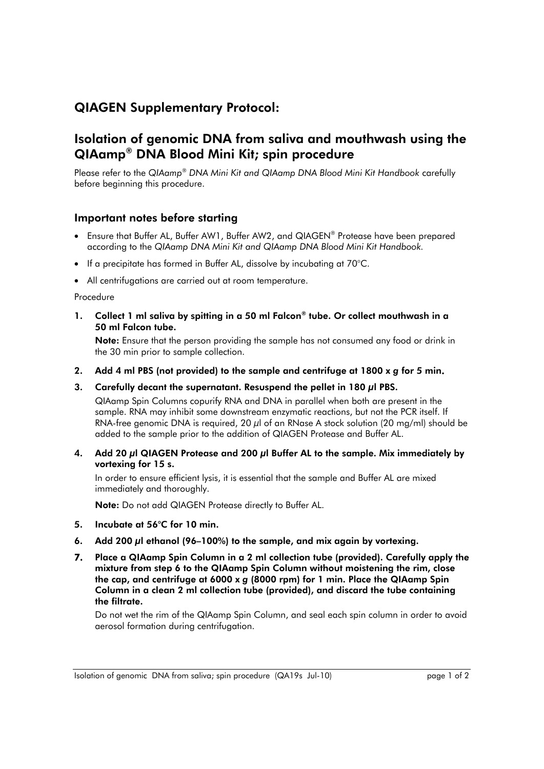## QIAGEN Supplementary Protocol:

## Isolation of genomic DNA from saliva and mouthwash using the QIAamp® DNA Blood Mini Kit; spin procedure

Please refer to the *QIAamp*® *DNA Mini Kit and QIAamp DNA Blood Mini Kit Handbook* carefully before beginning this procedure.

## Important notes before starting

- Ensure that Buffer AL, Buffer AW1, Buffer AW2, and QIAGEN® Protease have been prepared according to the *QIAamp DNA Mini Kit and QIAamp DNA Blood Mini Kit Handbook.*
- If a precipitate has formed in Buffer AL, dissolve by incubating at 70°C.
- All centrifugations are carried out at room temperature.

## Procedure

1. Collect 1 ml saliva by spitting in a 50 ml Falcon® tube. Or collect mouthwash in a 50 ml Falcon tube.

Note: Ensure that the person providing the sample has not consumed any food or drink in the 30 min prior to sample collection.

- 2. Add 4 ml PBS (not provided) to the sample and centrifuge at 1800 x *g* for 5 min.
- 3. Carefully decant the supernatant. Resuspend the pellet in 180 *μl* PBS.

QIAamp Spin Columns copurify RNA and DNA in parallel when both are present in the sample. RNA may inhibit some downstream enzymatic reactions, but not the PCR itself. If RNA-free genomic DNA is required, 20  $\mu$  of an RNase A stock solution (20 mg/ml) should be added to the sample prior to the addition of QIAGEN Protease and Buffer AL.

4. Add 20 μl QIAGEN Protease and 200 μl Buffer AL to the sample. Mix immediately by vortexing for 15 s.

In order to ensure efficient lysis, it is essential that the sample and Buffer AL are mixed immediately and thoroughly.

Note: Do not add QIAGEN Protease directly to Buffer AL.

- 5. Incubate at 56°C for 10 min.
- 6. Add 200 μl ethanol (96–100%) to the sample, and mix again by vortexing.
- 7. Place a QIAamp Spin Column in a 2 ml collection tube (provided). Carefully apply the mixture from step 6 to the QIAamp Spin Column without moistening the rim, close the cap, and centrifuge at 6000 x *g* (8000 rpm) for 1 min. Place the QIAamp Spin Column in a clean 2 ml collection tube (provided), and discard the tube containing the filtrate.

Do not wet the rim of the QIAamp Spin Column, and seal each spin column in order to avoid aerosol formation during centrifugation.